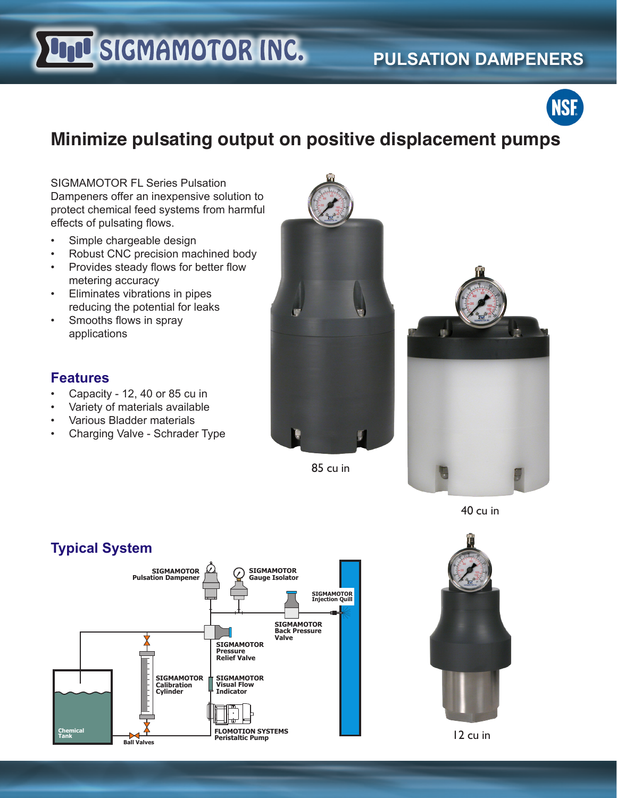# **UND SIGMAMOTOR INC.**

### **PULSATION DAMPENERS**



## **Minimize pulsating output on positive displacement pumps**

SIGMAMOTOR FL Series Pulsation Dampeners offer an inexpensive solution to protect chemical feed systems from harmful effects of pulsating flows.

- Simple chargeable design
- Robust CNC precision machined body
- Provides steady flows for better flow metering accuracy
- Eliminates vibrations in pipes reducing the potential for leaks
- Smooths flows in spray applications

#### **Features**

- Capacity 12, 40 or 85 cu in
- Variety of materials available
- Various Bladder materials
- Charging Valve Schrader Type



85 cu in



40 cu in





12 cu in

#### **Typical System**